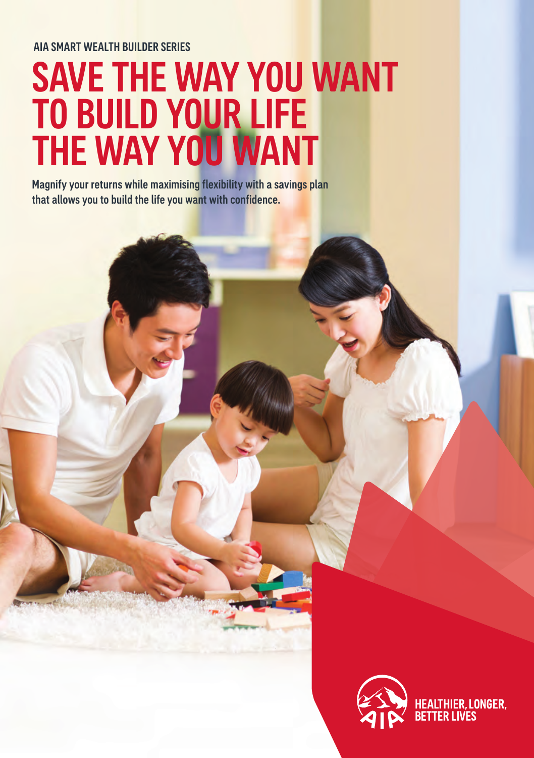#### AIA SMART WEALTH BUILDER SERIES

# SAVE THE WAY YOU WANT TO BUILD YOUR LIFE THE WAY YOU WANT

Magnify your returns while maximising flexibility with a savings plan that allows you to build the life you want with confidence.

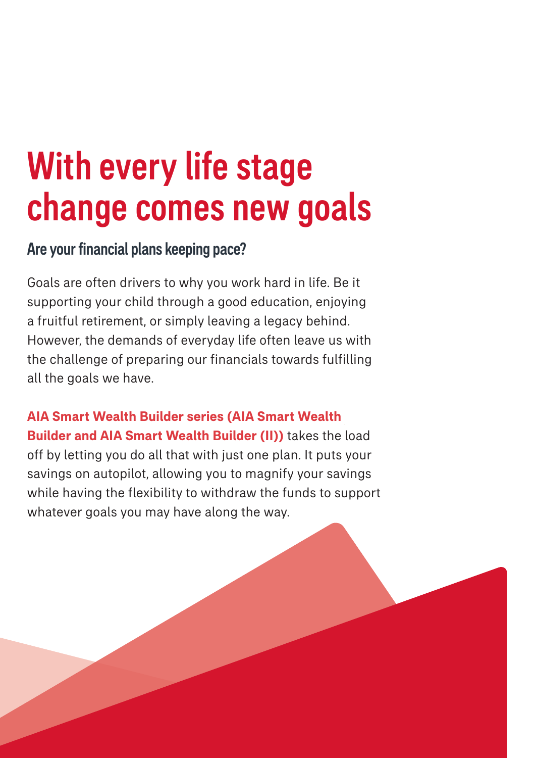# With every life stage change comes new goals

### Are your financial plans keeping pace?

Goals are often drivers to why you work hard in life. Be it supporting your child through a good education, enjoying a fruitful retirement, or simply leaving a legacy behind. However, the demands of everyday life often leave us with the challenge of preparing our financials towards fulfilling all the goals we have.

**AIA Smart Wealth Builder series (AIA Smart Wealth Builder and AIA Smart Wealth Builder (II))** takes the load off by letting you do all that with just one plan. It puts your savings on autopilot, allowing you to magnify your savings while having the flexibility to withdraw the funds to support whatever goals you may have along the way.

PAGE 1 | **SAVINGS** AIA SMART WEALTH BUILDER SERIES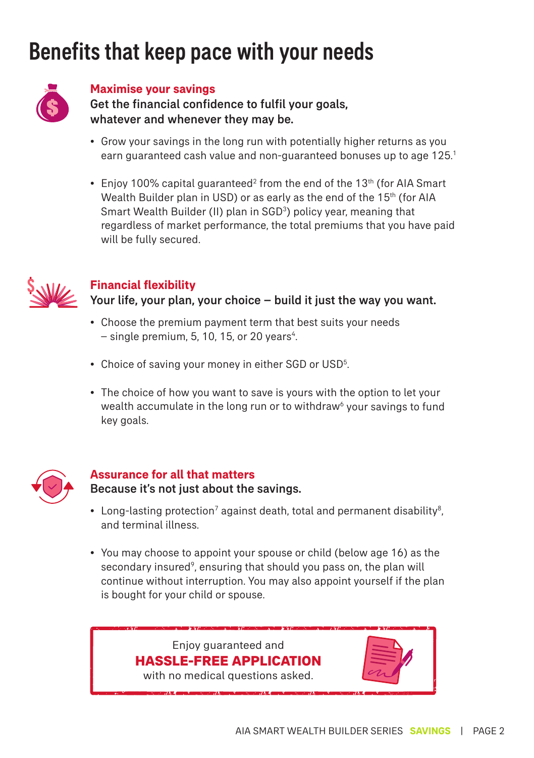# Benefits that keep pace with your needs



#### **Maximise your savings**

Get the financial confidence to fulfil your goals, whatever and whenever they may be.

- Grow your savings in the long run with potentially higher returns as you earn guaranteed cash value and non-guaranteed bonuses up to age 125.<sup>1</sup>
- Enjoy 100% capital guaranteed<sup>2</sup> from the end of the 13<sup>th</sup> (for AIA Smart Wealth Builder plan in USD) or as early as the end of the 15<sup>th</sup> (for AIA Smart Wealth Builder (II) plan in SGD<sup>3</sup>) policy year, meaning that regardless of market performance, the total premiums that you have paid will be fully secured.



### **Financial flexibility**

Your life, your plan, your choice – build it just the way you want.

- Choose the premium payment term that best suits your needs  $-$  single premium, 5, 10, 15, or 20 years<sup>4</sup>.
- Choice of saving your money in either SGD or USD<sup>5</sup>. .
- The choice of how you want to save is yours with the option to let your wealth accumulate in the long run or to withdraw<sup>6</sup> your savings to fund key goals.



### **Assurance for all that matters** Because it's not just about the savings.

- Long-lasting protection<sup>7</sup> against death, total and permanent disability<sup>8</sup>, and terminal illness.
- You may choose to appoint your spouse or child (below age 16) as the secondary insured<sup>9</sup>, ensuring that should you pass on, the plan will continue without interruption. You may also appoint yourself if the plan is bought for your child or spouse.

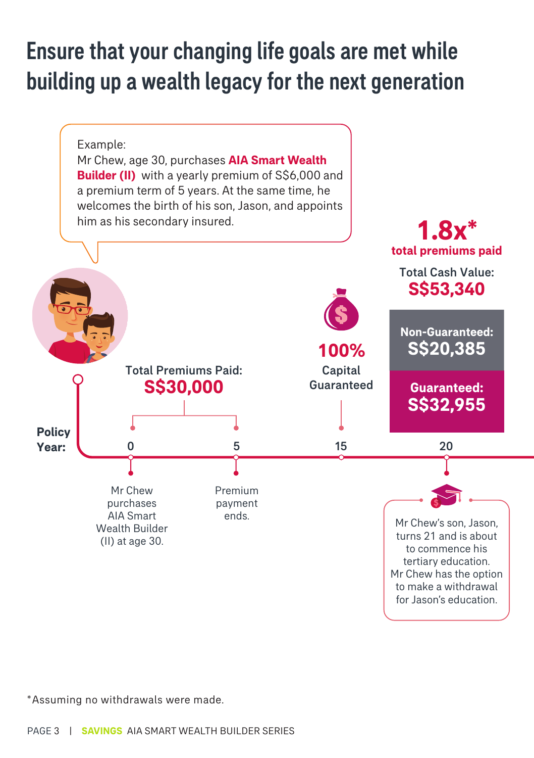## Ensure that your changing life goals are met while building up a wealth legacy for the next generation



\*Assuming no withdrawals were made.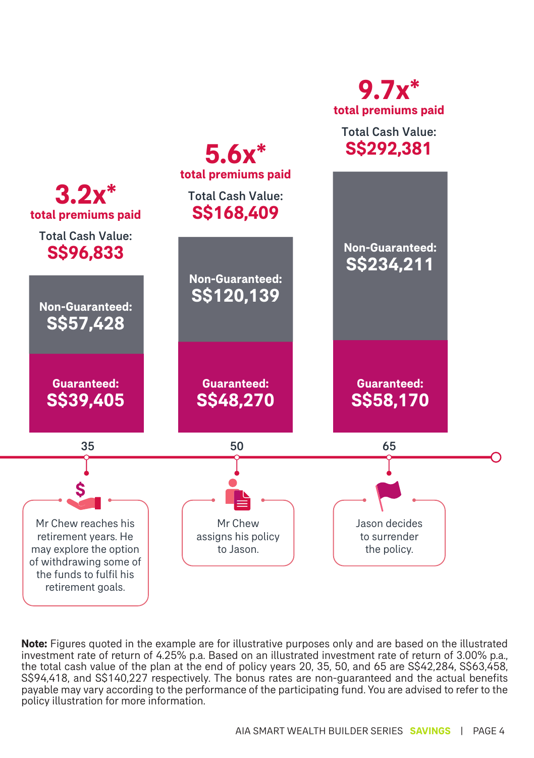

**Note:** Figures quoted in the example are for illustrative purposes only and are based on the illustrated investment rate of return of 4.25% p.a. Based on an illustrated investment rate of return of 3.00% p.a., the total cash value of the plan at the end of policy years 20, 35, 50, and 65 are S\$42,284, S\$63,458, S\$94,418, and S\$140,227 respectively. The bonus rates are non-guaranteed and the actual benefits payable may vary according to the performance of the participating fund. You are advised to refer to the policy illustration for more information.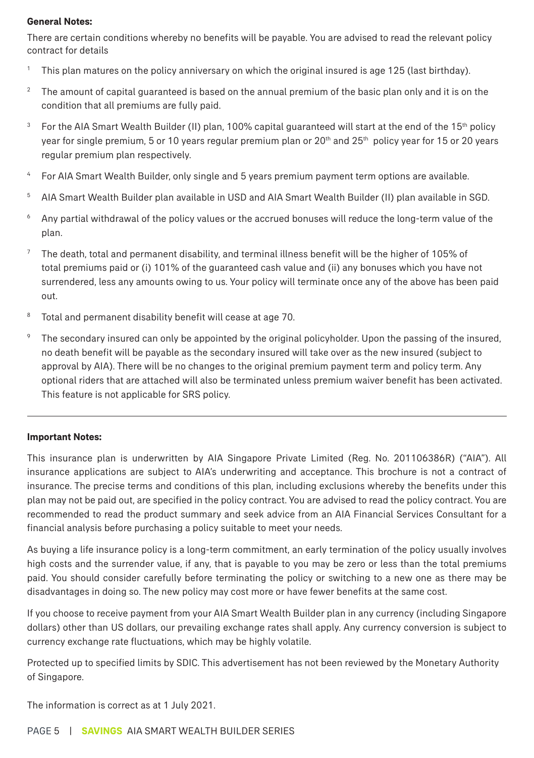#### **General Notes:**

There are certain conditions whereby no benefits will be payable. You are advised to read the relevant policy contract for details

- 1 This plan matures on the policy anniversary on which the original insured is age 125 (last birthday).
- <sup>2</sup> The amount of capital guaranteed is based on the annual premium of the basic plan only and it is on the condition that all premiums are fully paid.
- 3 For the AIA Smart Wealth Builder (II) plan, 100% capital guaranteed will start at the end of the 15<sup>th</sup> policy year for single premium, 5 or 10 years regular premium plan or 20<sup>th</sup> and 25<sup>th</sup> policy year for 15 or 20 years regular premium plan respectively.
- <sup>4</sup> For AIA Smart Wealth Builder, only single and 5 years premium payment term options are available.
- 5 AIA Smart Wealth Builder plan available in USD and AIA Smart Wealth Builder (II) plan available in SGD.
- 6 Any partial withdrawal of the policy values or the accrued bonuses will reduce the long-term value of the plan.
- $7$  The death, total and permanent disability, and terminal illness benefit will be the higher of 105% of total premiums paid or (i) 101% of the guaranteed cash value and (ii) any bonuses which you have not surrendered, less any amounts owing to us. Your policy will terminate once any of the above has been paid out.
- <sup>8</sup> Total and permanent disability benefit will cease at age 70.
- The secondary insured can only be appointed by the original policyholder. Upon the passing of the insured, no death benefit will be payable as the secondary insured will take over as the new insured (subject to approval by AIA). There will be no changes to the original premium payment term and policy term. Any optional riders that are attached will also be terminated unless premium waiver benefit has been activated. This feature is not applicable for SRS policy.

#### **Important Notes:**

This insurance plan is underwritten by AIA Singapore Private Limited (Reg. No. 201106386R) ("AIA"). All insurance applications are subject to AIA's underwriting and acceptance. This brochure is not a contract of insurance. The precise terms and conditions of this plan, including exclusions whereby the benefits under this plan may not be paid out, are specified in the policy contract. You are advised to read the policy contract. You are recommended to read the product summary and seek advice from an AIA Financial Services Consultant for a financial analysis before purchasing a policy suitable to meet your needs.

As buying a life insurance policy is a long-term commitment, an early termination of the policy usually involves high costs and the surrender value, if any, that is payable to you may be zero or less than the total premiums paid. You should consider carefully before terminating the policy or switching to a new one as there may be disadvantages in doing so. The new policy may cost more or have fewer benefits at the same cost.

If you choose to receive payment from your AIA Smart Wealth Builder plan in any currency (including Singapore dollars) other than US dollars, our prevailing exchange rates shall apply. Any currency conversion is subject to currency exchange rate fluctuations, which may be highly volatile.

Protected up to specified limits by SDIC. This advertisement has not been reviewed by the Monetary Authority of Singapore.

The information is correct as at 1 July 2021.

#### PAGE 5 | **SAVINGS** AIA SMART WEALTH BUILDER SERIES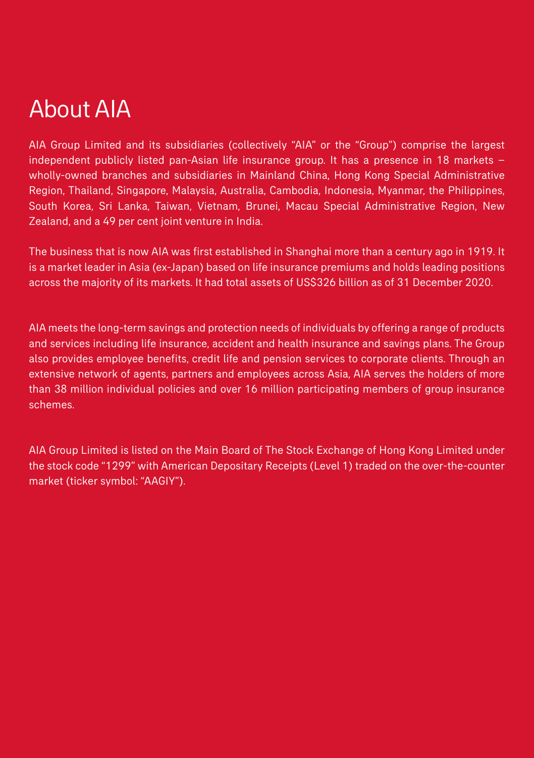## About AIA

AIA Group Limited and its subsidiaries (collectively "AIA" or the "Group") comprise the largest independent publicly listed pan-Asian life insurance group. It has a presence in 18 markets – wholly-owned branches and subsidiaries in Mainland China, Hong Kong Special Administrative Region, Thailand, Singapore, Malaysia, Australia, Cambodia, Indonesia, Myanmar, the Philippines, South Korea, Sri Lanka, Taiwan, Vietnam, Brunei, Macau Special Administrative Region, New Zealand, and a 49 per cent joint venture in India.

The business that is now AIA was first established in Shanghai more than a century ago in 1919. It is a market leader in Asia (ex-Japan) based on life insurance premiums and holds leading positions across the majority of its markets. It had total assets of US\$326 billion as of 31 December 2020.

AIA meets the long-term savings and protection needs of individuals by offering a range of products and services including life insurance, accident and health insurance and savings plans. The Group also provides employee benefits, credit life and pension services to corporate clients. Through an extensive network of agents, partners and employees across Asia, AIA serves the holders of more than 38 million individual policies and over 16 million participating members of group insurance schemes.

AIA Group Limited is listed on the Main Board of The Stock Exchange of Hong Kong Limited under the stock code "1299" with American Depositary Receipts (Level 1) traded on the over-the-counter market (ticker symbol: "AAGIY").